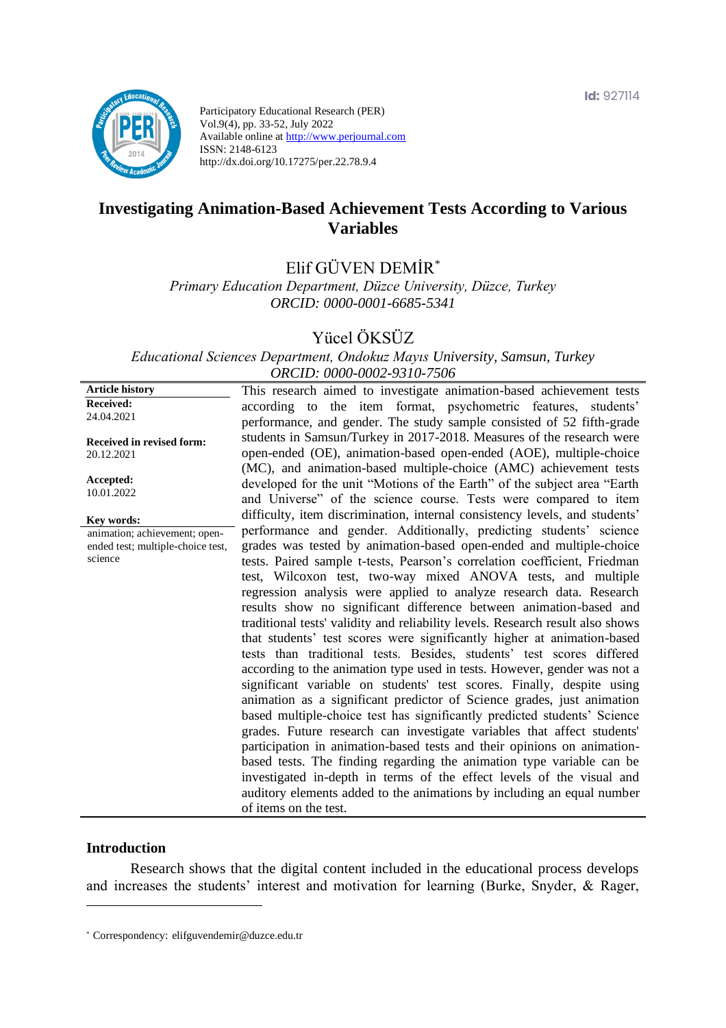**Id:** 927114



Participatory Educational Research (PER) Vol.9(4), pp. 33-52, July 2022 Available online at http://www.perjournal.com ISSN: 2148-6123 http://dx.doi.org/10.17275/per.22.78.9.4

# **Investigating Animation-Based Achievement Tests According to Various Variables**

Elif GÜVEN DEMİR\*

*Primary Education Department, Düzce University, Düzce, Turkey ORCID: 0000-0001-6685-5341*

# Yücel ÖKSÜZ

*Educational Sciences Department, Ondokuz Mayıs University, Samsun, Turkey ORCID: 0000-0002-9310-7506*

**Article history Received:**  24.04.2021 **Received in revised form:**  20.12.2021 **Accepted:** 10.01.2022 This research aimed to investigate animation-based achievement tests according to the item format, psychometric features, students' performance, and gender. The study sample consisted of 52 fifth-grade students in Samsun/Turkey in 2017-2018. Measures of the research were open-ended (OE), animation-based open-ended (AOE), multiple-choice (MC), and animation-based multiple-choice (AMC) achievement tests developed for the unit "Motions of the Earth" of the subject area "Earth and Universe" of the science course. Tests were compared to item difficulty, item discrimination, internal consistency levels, and students' performance and gender. Additionally, predicting students' science grades was tested by animation-based open-ended and multiple-choice tests. Paired sample t-tests, Pearson's correlation coefficient, Friedman test, Wilcoxon test, two-way mixed ANOVA tests, and multiple regression analysis were applied to analyze research data. Research results show no significant difference between animation-based and traditional tests' validity and reliability levels. Research result also shows that students' test scores were significantly higher at animation-based tests than traditional tests. Besides, students' test scores differed according to the animation type used in tests. However, gender was not a significant variable on students' test scores. Finally, despite using animation as a significant predictor of Science grades, just animation based multiple-choice test has significantly predicted students' Science grades. Future research can investigate variables that affect students' participation in animation-based tests and their opinions on animationbased tests. The finding regarding the animation type variable can be investigated in-depth in terms of the effect levels of the visual and auditory elements added to the animations by including an equal number of items on the test. **Key words:** animation; achievement; openended test; multiple-choice test, science

#### **Introduction**

Research shows that the digital content included in the educational process develops and increases the students' interest and motivation for learning (Burke, Snyder, & Rager,

<sup>\*</sup> [Correspondency:](mailto:Correspondency:) elifguvendemir@duzce.edu.tr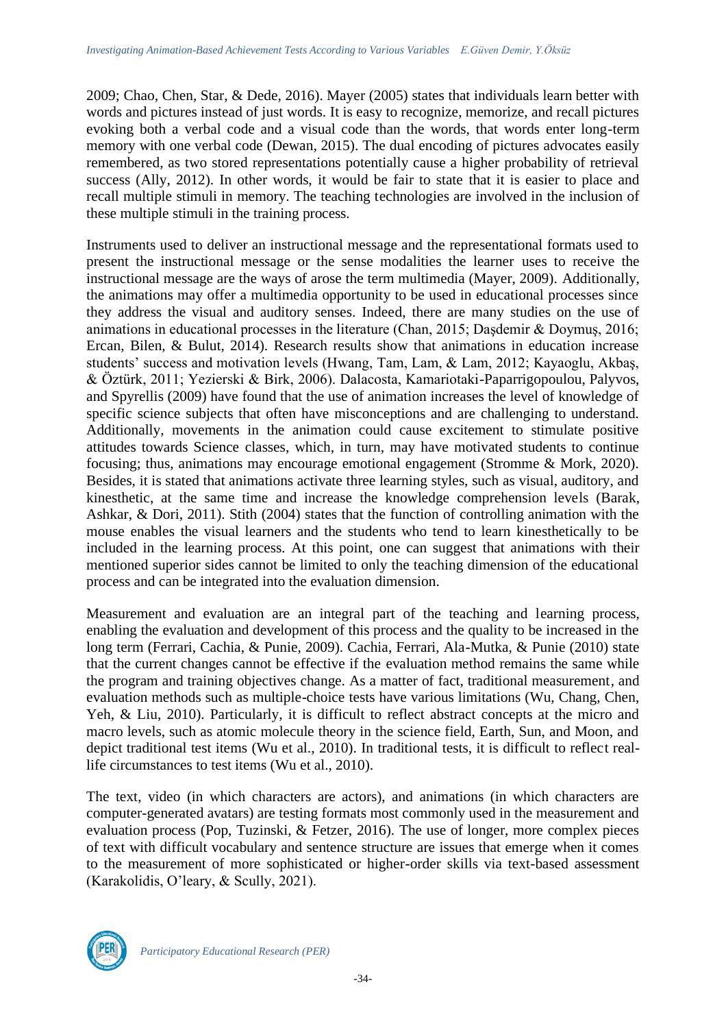2009; Chao, Chen, Star, & Dede, 2016). Mayer (2005) states that individuals learn better with words and pictures instead of just words. It is easy to recognize, memorize, and recall pictures evoking both a verbal code and a visual code than the words, that words enter long-term memory with one verbal code (Dewan, 2015). The dual encoding of pictures advocates easily remembered, as two stored representations potentially cause a higher probability of retrieval success (Ally, 2012). In other words, it would be fair to state that it is easier to place and recall multiple stimuli in memory. The teaching technologies are involved in the inclusion of these multiple stimuli in the training process.

Instruments used to deliver an instructional message and the representational formats used to present the instructional message or the sense modalities the learner uses to receive the instructional message are the ways of arose the term multimedia (Mayer, 2009). Additionally, the animations may offer a multimedia opportunity to be used in educational processes since they address the visual and auditory senses. Indeed, there are many studies on the use of animations in educational processes in the literature (Chan, 2015; Daşdemir & Doymuş, 2016; Ercan, Bilen, & Bulut, 2014). Research results show that animations in education increase students' success and motivation levels (Hwang, Tam, Lam, & Lam, 2012; Kayaoglu, Akbaş, & Öztürk, 2011; Yezierski & Birk, 2006). Dalacosta, Kamariotaki-Paparrigopoulou, Palyvos, and Spyrellis (2009) have found that the use of animation increases the level of knowledge of specific science subjects that often have misconceptions and are challenging to understand. Additionally, movements in the animation could cause excitement to stimulate positive attitudes towards Science classes, which, in turn, may have motivated students to continue focusing; thus, animations may encourage emotional engagement (Stromme & Mork, 2020). Besides, it is stated that animations activate three learning styles, such as visual, auditory, and kinesthetic, at the same time and increase the knowledge comprehension levels (Barak, Ashkar, & Dori, 2011). Stith (2004) states that the function of controlling animation with the mouse enables the visual learners and the students who tend to learn kinesthetically to be included in the learning process. At this point, one can suggest that animations with their mentioned superior sides cannot be limited to only the teaching dimension of the educational process and can be integrated into the evaluation dimension.

Measurement and evaluation are an integral part of the teaching and learning process, enabling the evaluation and development of this process and the quality to be increased in the long term (Ferrari, Cachia, & Punie, 2009). Cachia, Ferrari, Ala-Mutka, & Punie (2010) state that the current changes cannot be effective if the evaluation method remains the same while the program and training objectives change. As a matter of fact, traditional measurement, and evaluation methods such as multiple-choice tests have various limitations (Wu, Chang, Chen, Yeh, & Liu, 2010). Particularly, it is difficult to reflect abstract concepts at the micro and macro levels, such as atomic molecule theory in the science field, Earth, Sun, and Moon, and depict traditional test items (Wu et al., 2010). In traditional tests, it is difficult to reflect reallife circumstances to test items (Wu et al., 2010).

The text, video (in which characters are actors), and animations (in which characters are computer-generated avatars) are testing formats most commonly used in the measurement and evaluation process (Pop, Tuzinski, & Fetzer, 2016). The use of longer, more complex pieces of text with difficult vocabulary and sentence structure are issues that emerge when it comes to the measurement of more sophisticated or higher-order skills via text-based assessment (Karakolidis, O'leary, & Scully, 2021).

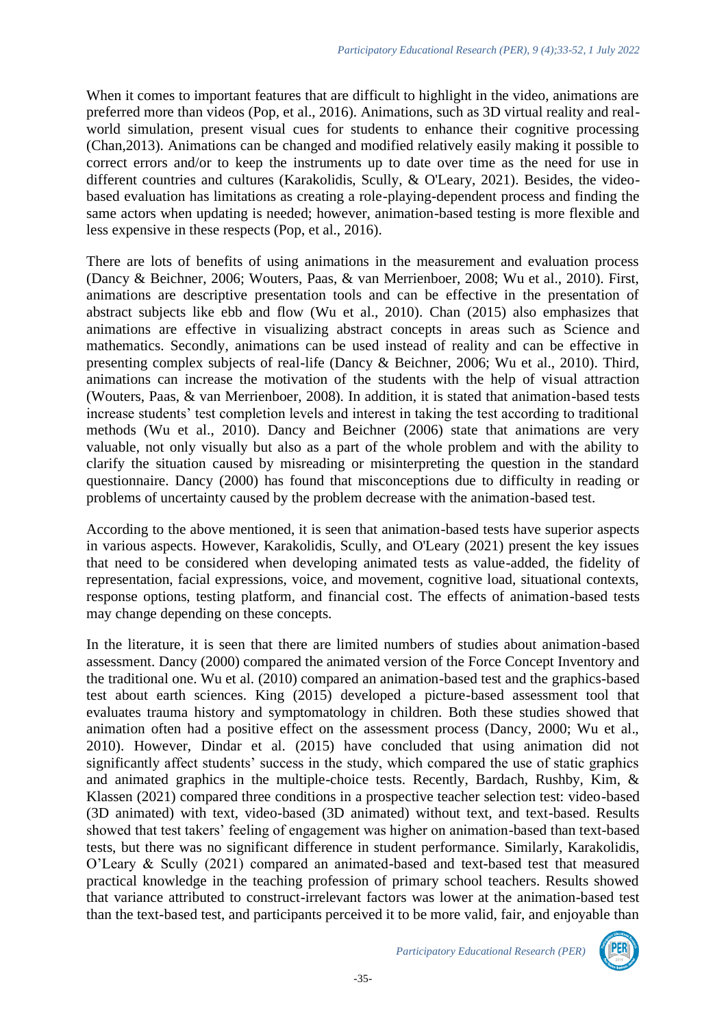When it comes to important features that are difficult to highlight in the video, animations are preferred more than videos (Pop, et al., 2016). Animations, such as 3D virtual reality and realworld simulation, present visual cues for students to enhance their cognitive processing (Chan,2013). Animations can be changed and modified relatively easily making it possible to correct errors and/or to keep the instruments up to date over time as the need for use in different countries and cultures (Karakolidis, Scully, & O'Leary, 2021). Besides, the videobased evaluation has limitations as creating a role-playing-dependent process and finding the same actors when updating is needed; however, animation-based testing is more flexible and less expensive in these respects (Pop, et al., 2016).

There are lots of benefits of using animations in the measurement and evaluation process (Dancy & Beichner, 2006; Wouters, Paas, & van Merrienboer, 2008; Wu et al., 2010). First, animations are descriptive presentation tools and can be effective in the presentation of abstract subjects like ebb and flow (Wu et al., 2010). Chan (2015) also emphasizes that animations are effective in visualizing abstract concepts in areas such as Science and mathematics. Secondly, animations can be used instead of reality and can be effective in presenting complex subjects of real-life (Dancy & Beichner, 2006; Wu et al., 2010). Third, animations can increase the motivation of the students with the help of visual attraction (Wouters, Paas, & van Merrienboer, 2008). In addition, it is stated that animation-based tests increase students' test completion levels and interest in taking the test according to traditional methods (Wu et al., 2010). Dancy and Beichner (2006) state that animations are very valuable, not only visually but also as a part of the whole problem and with the ability to clarify the situation caused by misreading or misinterpreting the question in the standard questionnaire. Dancy (2000) has found that misconceptions due to difficulty in reading or problems of uncertainty caused by the problem decrease with the animation-based test.

According to the above mentioned, it is seen that animation-based tests have superior aspects in various aspects. However, Karakolidis, Scully, and O'Leary (2021) present the key issues that need to be considered when developing animated tests as value-added, the fidelity of representation, facial expressions, voice, and movement, cognitive load, situational contexts, response options, testing platform, and financial cost. The effects of animation-based tests may change depending on these concepts.

In the literature, it is seen that there are limited numbers of studies about animation-based assessment. Dancy (2000) compared the animated version of the Force Concept Inventory and the traditional one. Wu et al. (2010) compared an animation-based test and the graphics-based test about earth sciences. King (2015) developed a picture-based assessment tool that evaluates trauma history and symptomatology in children. Both these studies showed that animation often had a positive effect on the assessment process (Dancy, 2000; Wu et al., 2010). However, Dindar et al. (2015) have concluded that using animation did not significantly affect students' success in the study, which compared the use of static graphics and animated graphics in the multiple-choice tests. Recently, Bardach, Rushby, Kim, & Klassen (2021) compared three conditions in a prospective teacher selection test: video-based (3D animated) with text, video-based (3D animated) without text, and text-based. Results showed that test takers' feeling of engagement was higher on animation-based than text-based tests, but there was no significant difference in student performance. Similarly, Karakolidis, O'Leary & Scully (2021) compared an animated-based and text-based test that measured practical knowledge in the teaching profession of primary school teachers. Results showed that variance attributed to construct-irrelevant factors was lower at the animation-based test than the text-based test, and participants perceived it to be more valid, fair, and enjoyable than

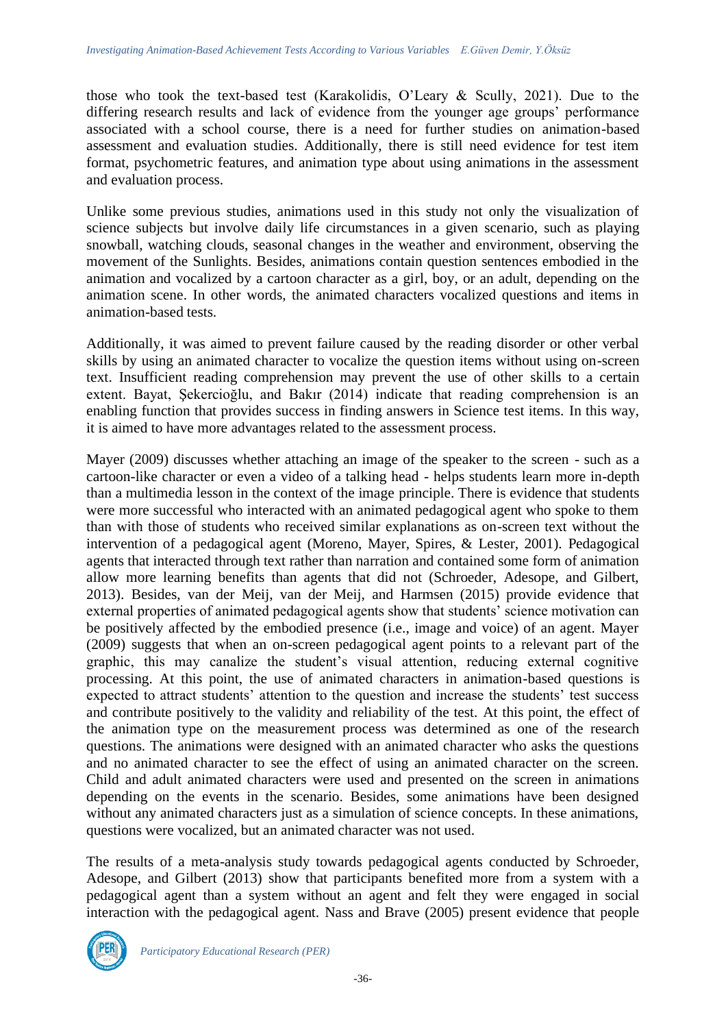those who took the text-based test (Karakolidis, O'Leary & Scully, 2021). Due to the differing research results and lack of evidence from the younger age groups' performance associated with a school course, there is a need for further studies on animation-based assessment and evaluation studies. Additionally, there is still need evidence for test item format, psychometric features, and animation type about using animations in the assessment and evaluation process.

Unlike some previous studies, animations used in this study not only the visualization of science subjects but involve daily life circumstances in a given scenario, such as playing snowball, watching clouds, seasonal changes in the weather and environment, observing the movement of the Sunlights. Besides, animations contain question sentences embodied in the animation and vocalized by a cartoon character as a girl, boy, or an adult, depending on the animation scene. In other words, the animated characters vocalized questions and items in animation-based tests.

Additionally, it was aimed to prevent failure caused by the reading disorder or other verbal skills by using an animated character to vocalize the question items without using on-screen text. Insufficient reading comprehension may prevent the use of other skills to a certain extent. Bayat, Şekercioğlu, and Bakır (2014) indicate that reading comprehension is an enabling function that provides success in finding answers in Science test items. In this way, it is aimed to have more advantages related to the assessment process.

Mayer (2009) discusses whether attaching an image of the speaker to the screen - such as a cartoon-like character or even a video of a talking head - helps students learn more in-depth than a multimedia lesson in the context of the image principle. There is evidence that students were more successful who interacted with an animated pedagogical agent who spoke to them than with those of students who received similar explanations as on-screen text without the intervention of a pedagogical agent (Moreno, Mayer, Spires, & Lester, 2001). Pedagogical agents that interacted through text rather than narration and contained some form of animation allow more learning benefits than agents that did not (Schroeder, Adesope, and Gilbert, 2013). Besides, van der Meij, van der Meij, and Harmsen (2015) provide evidence that external properties of animated pedagogical agents show that students' science motivation can be positively affected by the embodied presence (i.e., image and voice) of an agent. Mayer (2009) suggests that when an on-screen pedagogical agent points to a relevant part of the graphic, this may canalize the student's visual attention, reducing external cognitive processing. At this point, the use of animated characters in animation-based questions is expected to attract students' attention to the question and increase the students' test success and contribute positively to the validity and reliability of the test. At this point, the effect of the animation type on the measurement process was determined as one of the research questions. The animations were designed with an animated character who asks the questions and no animated character to see the effect of using an animated character on the screen. Child and adult animated characters were used and presented on the screen in animations depending on the events in the scenario. Besides, some animations have been designed without any animated characters just as a simulation of science concepts. In these animations, questions were vocalized, but an animated character was not used.

The results of a meta-analysis study towards pedagogical agents conducted by Schroeder, Adesope, and Gilbert (2013) show that participants benefited more from a system with a pedagogical agent than a system without an agent and felt they were engaged in social interaction with the pedagogical agent. Nass and Brave (2005) present evidence that people

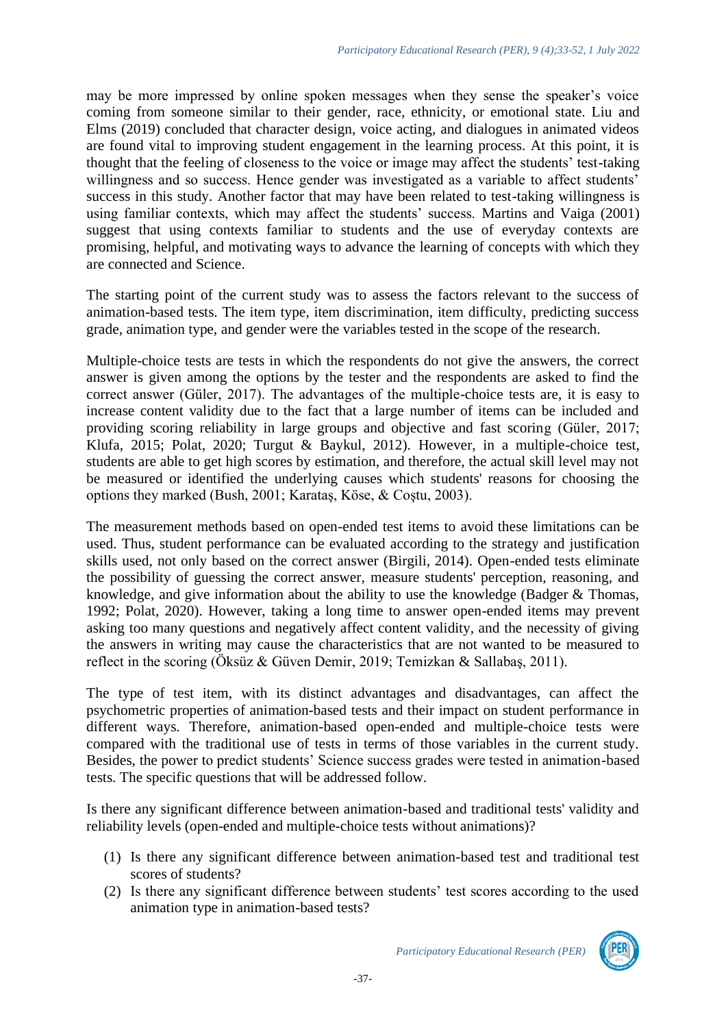may be more impressed by online spoken messages when they sense the speaker's voice coming from someone similar to their gender, race, ethnicity, or emotional state. Liu and Elms (2019) concluded that character design, voice acting, and dialogues in animated videos are found vital to improving student engagement in the learning process. At this point, it is thought that the feeling of closeness to the voice or image may affect the students' test-taking willingness and so success. Hence gender was investigated as a variable to affect students' success in this study. Another factor that may have been related to test-taking willingness is using familiar contexts, which may affect the students' success. Martins and Vaiga (2001) suggest that using contexts familiar to students and the use of everyday contexts are promising, helpful, and motivating ways to advance the learning of concepts with which they are connected and Science.

The starting point of the current study was to assess the factors relevant to the success of animation-based tests. The item type, item discrimination, item difficulty, predicting success grade, animation type, and gender were the variables tested in the scope of the research.

Multiple-choice tests are tests in which the respondents do not give the answers, the correct answer is given among the options by the tester and the respondents are asked to find the correct answer (Güler, 2017). The advantages of the multiple-choice tests are, it is easy to increase content validity due to the fact that a large number of items can be included and providing scoring reliability in large groups and objective and fast scoring (Güler, 2017; Klufa, 2015; Polat, 2020; Turgut & Baykul, 2012). However, in a multiple-choice test, students are able to get high scores by estimation, and therefore, the actual skill level may not be measured or identified the underlying causes which students' reasons for choosing the options they marked (Bush, 2001; Karataş, Köse, & Coştu, 2003).

The measurement methods based on open-ended test items to avoid these limitations can be used. Thus, student performance can be evaluated according to the strategy and justification skills used, not only based on the correct answer (Birgili, 2014). Open-ended tests eliminate the possibility of guessing the correct answer, measure students' perception, reasoning, and knowledge, and give information about the ability to use the knowledge (Badger & Thomas, 1992; Polat, 2020). However, taking a long time to answer open-ended items may prevent asking too many questions and negatively affect content validity, and the necessity of giving the answers in writing may cause the characteristics that are not wanted to be measured to reflect in the scoring (Öksüz & Güven Demir, 2019; Temizkan & Sallabaş, 2011).

The type of test item, with its distinct advantages and disadvantages, can affect the psychometric properties of animation-based tests and their impact on student performance in different ways. Therefore, animation-based open-ended and multiple-choice tests were compared with the traditional use of tests in terms of those variables in the current study. Besides, the power to predict students' Science success grades were tested in animation-based tests. The specific questions that will be addressed follow.

Is there any significant difference between animation-based and traditional tests' validity and reliability levels (open-ended and multiple-choice tests without animations)?

- (1) Is there any significant difference between animation-based test and traditional test scores of students?
- (2) Is there any significant difference between students' test scores according to the used animation type in animation-based tests?

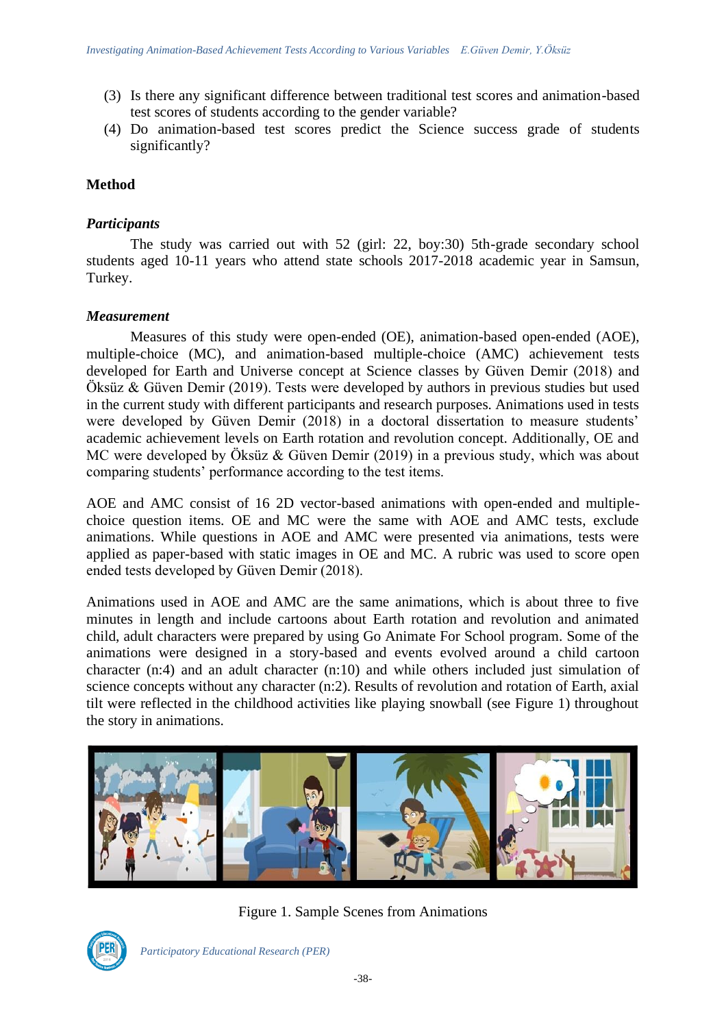- (3) Is there any significant difference between traditional test scores and animation-based test scores of students according to the gender variable?
- (4) Do animation-based test scores predict the Science success grade of students significantly?

## **Method**

### *Participants*

The study was carried out with 52 (girl: 22, boy:30) 5th-grade secondary school students aged 10-11 years who attend state schools 2017-2018 academic year in Samsun, Turkey.

#### *Measurement*

Measures of this study were open-ended (OE), animation-based open-ended (AOE), multiple-choice (MC), and animation-based multiple-choice (AMC) achievement tests developed for Earth and Universe concept at Science classes by Güven Demir (2018) and Öksüz & Güven Demir (2019). Tests were developed by authors in previous studies but used in the current study with different participants and research purposes. Animations used in tests were developed by Güven Demir (2018) in a doctoral dissertation to measure students' academic achievement levels on Earth rotation and revolution concept. Additionally, OE and MC were developed by Öksüz & Güven Demir (2019) in a previous study, which was about comparing students' performance according to the test items.

AOE and AMC consist of 16 2D vector-based animations with open-ended and multiplechoice question items. OE and MC were the same with AOE and AMC tests, exclude animations. While questions in AOE and AMC were presented via animations, tests were applied as paper-based with static images in OE and MC. A rubric was used to score open ended tests developed by Güven Demir (2018).

Animations used in AOE and AMC are the same animations, which is about three to five minutes in length and include cartoons about Earth rotation and revolution and animated child, adult characters were prepared by using Go Animate For School program. Some of the animations were designed in a story-based and events evolved around a child cartoon character (n:4) and an adult character (n:10) and while others included just simulation of science concepts without any character (n:2). Results of revolution and rotation of Earth, axial tilt were reflected in the childhood activities like playing snowball (see Figure 1) throughout the story in animations.



Figure 1. Sample Scenes from Animations

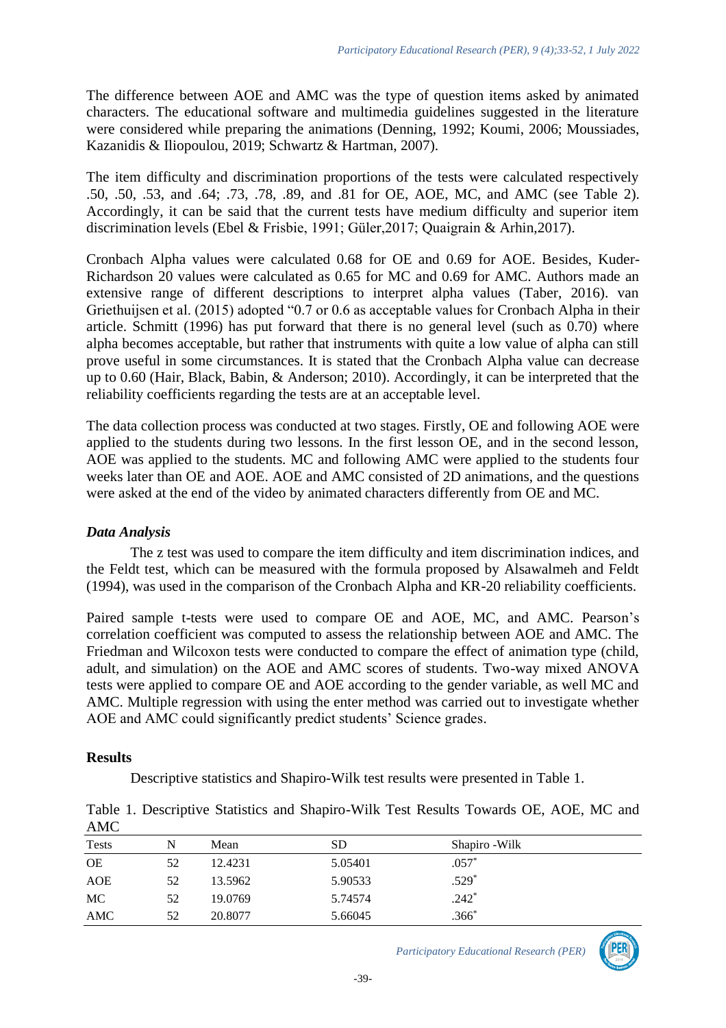The difference between AOE and AMC was the type of question items asked by animated characters. The educational software and multimedia guidelines suggested in the literature were considered while preparing the animations (Denning, 1992; Koumi, 2006; Moussiades, Kazanidis & Iliopoulou, 2019; Schwartz & Hartman, 2007).

The item difficulty and discrimination proportions of the tests were calculated respectively .50, .50, .53, and .64; .73, .78, .89, and .81 for OE, AOE, MC, and AMC (see Table 2). Accordingly, it can be said that the current tests have medium difficulty and superior item discrimination levels (Ebel & Frisbie, 1991; Güler,2017; Quaigrain & Arhin,2017).

Cronbach Alpha values were calculated 0.68 for OE and 0.69 for AOE. Besides, Kuder-Richardson 20 values were calculated as 0.65 for MC and 0.69 for AMC. Authors made an extensive range of different descriptions to interpret alpha values (Taber, 2016). van Griethuijsen et al. (2015) adopted "0.7 or 0.6 as acceptable values for Cronbach Alpha in their article. Schmitt (1996) has put forward that there is no general level (such as 0.70) where alpha becomes acceptable, but rather that instruments with quite a low value of alpha can still prove useful in some circumstances. It is stated that the Cronbach Alpha value can decrease up to 0.60 (Hair, Black, Babin, & Anderson; 2010). Accordingly, it can be interpreted that the reliability coefficients regarding the tests are at an acceptable level.

The data collection process was conducted at two stages. Firstly, OE and following AOE were applied to the students during two lessons. In the first lesson OE, and in the second lesson, AOE was applied to the students. MC and following AMC were applied to the students four weeks later than OE and AOE. AOE and AMC consisted of 2D animations, and the questions were asked at the end of the video by animated characters differently from OE and MC.

## *Data Analysis*

The z test was used to compare the item difficulty and item discrimination indices, and the Feldt test, which can be measured with the formula proposed by Alsawalmeh and Feldt (1994), was used in the comparison of the Cronbach Alpha and KR-20 reliability coefficients.

Paired sample t-tests were used to compare OE and AOE, MC, and AMC. Pearson's correlation coefficient was computed to assess the relationship between AOE and AMC. The Friedman and Wilcoxon tests were conducted to compare the effect of animation type (child, adult, and simulation) on the AOE and AMC scores of students. Two-way mixed ANOVA tests were applied to compare OE and AOE according to the gender variable, as well MC and AMC. Multiple regression with using the enter method was carried out to investigate whether AOE and AMC could significantly predict students' Science grades.

#### **Results**

Descriptive statistics and Shapiro-Wilk test results were presented in Table 1.

| N  | Mean    | SD      | Shapiro - Wilk |  |
|----|---------|---------|----------------|--|
| 52 | 12.4231 | 5.05401 | $.057*$        |  |
| 52 | 13.5962 | 5.90533 | $.529*$        |  |
| 52 | 19.0769 | 5.74574 | $.242*$        |  |
| 52 | 20.8077 | 5.66045 | $.366*$        |  |
|    |         |         |                |  |

Table 1. Descriptive Statistics and Shapiro-Wilk Test Results Towards OE, AOE, MC and  $\triangle M$ C

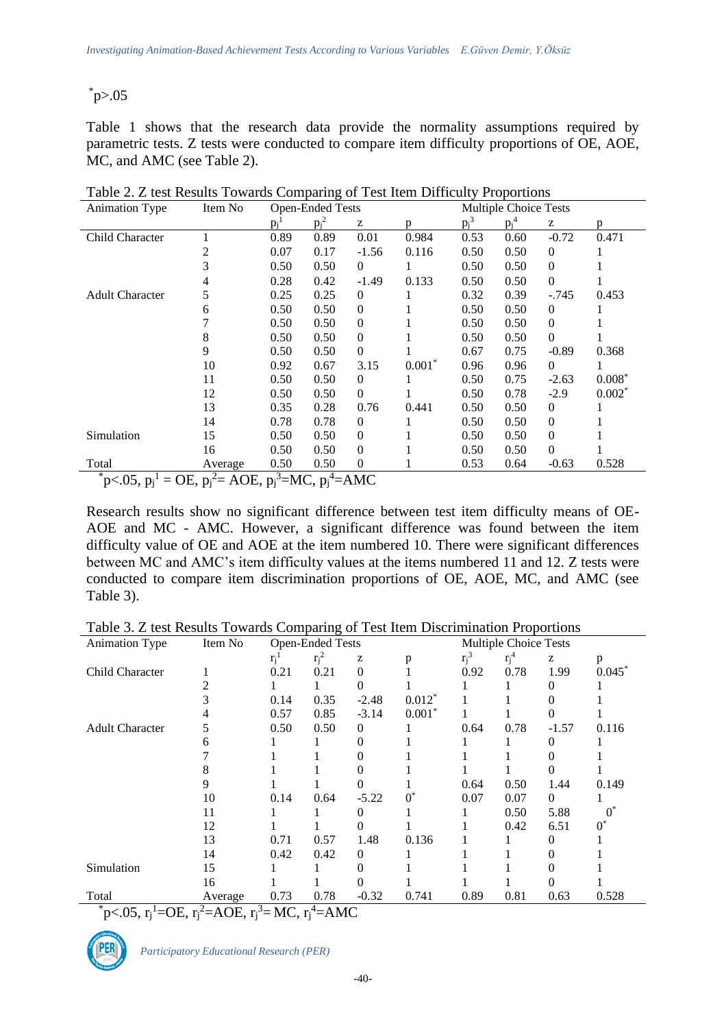$\degree$ p>.05

Table 1 shows that the research data provide the normality assumptions required by parametric tests. Z tests were conducted to compare item difficulty proportions of OE, AOE, MC, and AMC (see Table 2).

| <b>Animation Type</b>  | Item No | <b>Open-Ended Tests</b> |         |          | <b>Multiple Choice Tests</b> |         |         |                  |          |
|------------------------|---------|-------------------------|---------|----------|------------------------------|---------|---------|------------------|----------|
|                        |         | $\mathbf{D}_{i}$        | $p_i^2$ | Z        | D                            | $p_i^3$ | $p_i^4$ | Z                | D        |
| Child Character        |         | 0.89                    | 0.89    | 0.01     | 0.984                        | 0.53    | 0.60    | $-0.72$          | 0.471    |
|                        | 2       | 0.07                    | 0.17    | $-1.56$  | 0.116                        | 0.50    | 0.50    | $\theta$         |          |
|                        | 3       | 0.50                    | 0.50    | $\Omega$ |                              | 0.50    | 0.50    | $\mathbf{0}$     |          |
|                        | 4       | 0.28                    | 0.42    | $-1.49$  | 0.133                        | 0.50    | 0.50    | $\Omega$         |          |
| <b>Adult Character</b> | 5       | 0.25                    | 0.25    | $\Omega$ |                              | 0.32    | 0.39    | $-.745$          | 0.453    |
|                        | 6       | 0.50                    | 0.50    | $\Omega$ |                              | 0.50    | 0.50    | $\theta$         |          |
|                        |         | 0.50                    | 0.50    | $\Omega$ |                              | 0.50    | 0.50    | $\boldsymbol{0}$ |          |
|                        | 8       | 0.50                    | 0.50    | $\Omega$ |                              | 0.50    | 0.50    | $\mathbf{0}$     |          |
|                        | 9       | 0.50                    | 0.50    | $\Omega$ |                              | 0.67    | 0.75    | $-0.89$          | 0.368    |
|                        | 10      | 0.92                    | 0.67    | 3.15     | $0.001*$                     | 0.96    | 0.96    | $\Omega$         |          |
|                        | 11      | 0.50                    | 0.50    | $\Omega$ |                              | 0.50    | 0.75    | $-2.63$          | $0.008*$ |
|                        | 12      | 0.50                    | 0.50    | $\Omega$ |                              | 0.50    | 0.78    | $-2.9$           | $0.002*$ |
|                        | 13      | 0.35                    | 0.28    | 0.76     | 0.441                        | 0.50    | 0.50    | $\theta$         |          |
|                        | 14      | 0.78                    | 0.78    | $\Omega$ |                              | 0.50    | 0.50    | $\mathbf{0}$     |          |
| Simulation             | 15      | 0.50                    | 0.50    | $\Omega$ |                              | 0.50    | 0.50    | $\mathbf{0}$     |          |
|                        | 16      | 0.50                    | 0.50    | $\Omega$ |                              | 0.50    | 0.50    | $\mathbf{0}$     |          |
| Total                  | Average | 0.50                    | 0.50    | $\theta$ |                              | 0.53    | 0.64    | $-0.63$          | 0.528    |

Table 2. Z test Results Towards Comparing of Test Item Difficulty Proportions

 $p \leq 0.05$ ,  $p_j^1 =$  OE,  $p_j^2 =$  AOE,  $p_j^3 =$ MC,  $p_j^4 =$ AMC

Research results show no significant difference between test item difficulty means of OE-AOE and MC - AMC. However, a significant difference was found between the item difficulty value of OE and AOE at the item numbered 10. There were significant differences between MC and AMC's item difficulty values at the items numbered 11 and 12. Z tests were conducted to compare item discrimination proportions of OE, AOE, MC, and AMC (see Table 3).

Table 3. Z test Results Towards Comparing of Test Item Discrimination Proportions

| <b>Animation Type</b>  | Item No |       | <b>Open-Ended Tests</b> |          |          |         | <b>Multiple Choice Tests</b> |          |          |
|------------------------|---------|-------|-------------------------|----------|----------|---------|------------------------------|----------|----------|
|                        |         | $r_i$ | $r_i^2$                 | z        | p        | $r_i^3$ | $r_i^4$                      | z        | p        |
| Child Character        |         | 0.21  | 0.21                    | $\Omega$ |          | 0.92    | 0.78                         | 1.99     | $0.045*$ |
|                        |         |       |                         | 0        |          |         |                              | 0        |          |
|                        |         | 0.14  | 0.35                    | $-2.48$  | $0.012*$ |         |                              | 0        |          |
|                        |         | 0.57  | 0.85                    | $-3.14$  | $0.001*$ |         |                              | 0        |          |
| <b>Adult Character</b> |         | 0.50  | 0.50                    | $\theta$ |          | 0.64    | 0.78                         | $-1.57$  | 0.116    |
|                        |         |       |                         | 0        |          |         |                              |          |          |
|                        |         |       |                         |          |          |         |                              |          |          |
|                        |         |       |                         |          |          |         |                              |          |          |
|                        | 9       |       |                         | 0        |          | 0.64    | 0.50                         | 1.44     | 0.149    |
|                        | 10      | 0.14  | 0.64                    | $-5.22$  | $0^*$    | 0.07    | 0.07                         | $\Omega$ |          |
|                        | 11      |       |                         | 0        |          |         | 0.50                         | 5.88     | $0^*$    |
|                        | 12      |       |                         |          |          |         | 0.42                         | 6.51     | $0^*$    |
|                        | 13      | 0.71  | 0.57                    | 1.48     | 0.136    |         |                              |          |          |
|                        | 14      | 0.42  | 0.42                    | $\Omega$ |          |         |                              |          |          |
| Simulation             | 15      |       |                         | 0        |          |         |                              |          |          |
|                        | 16      |       |                         |          |          |         |                              |          |          |
| Total                  | Average | 0.73  | 0.78                    | $-0.32$  | 0.741    | 0.89    | 0.81                         | 0.63     | 0.528    |

 $\rm \ddot{p} < .05, r_{j}^{1} = 0E, r_{j}^{2} = AOE, r_{j}^{3} = MC, r_{j}^{4} = AMC$ 

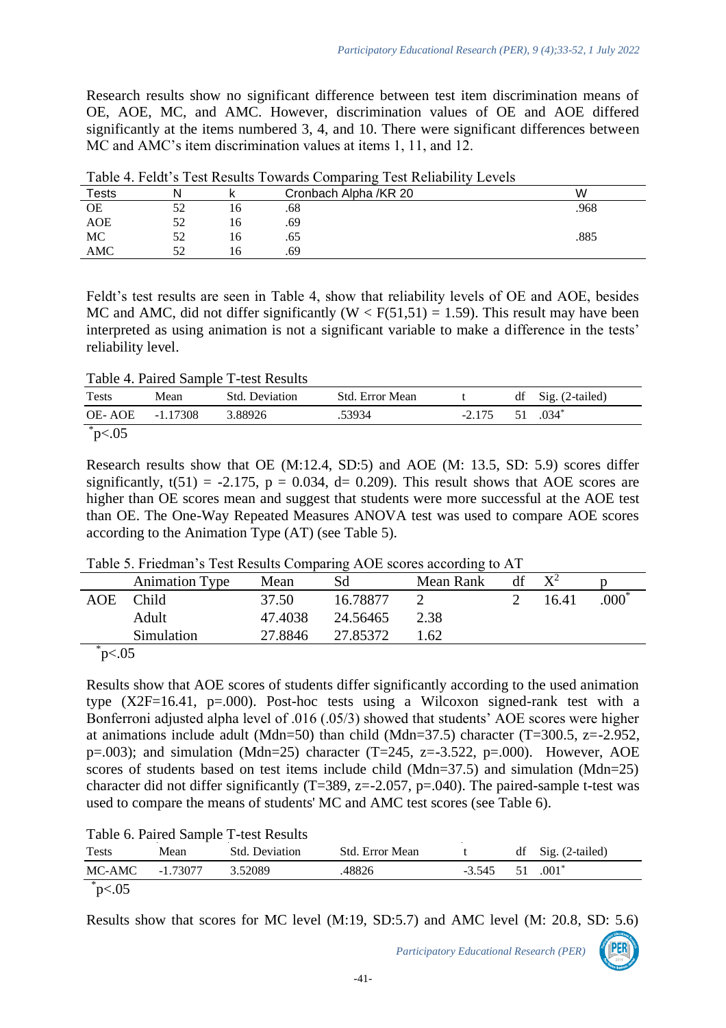Research results show no significant difference between test item discrimination means of OE, AOE, MC, and AMC. However, discrimination values of OE and AOE differed significantly at the items numbered 3, 4, and 10. There were significant differences between MC and AMC's item discrimination values at items 1, 11, and 12.

| Table 4. I club 3 Test Results Towards Comparing Test Renability Levels |  |   |                       |      |  |  |  |  |
|-------------------------------------------------------------------------|--|---|-----------------------|------|--|--|--|--|
| $\tau_\mathsf{ests}$                                                    |  |   | Cronbach Alpha /KR 20 | W    |  |  |  |  |
| <b>OE</b>                                                               |  |   | .68                   | .968 |  |  |  |  |
| <b>AOE</b>                                                              |  |   | .69                   |      |  |  |  |  |
| MC                                                                      |  |   | .65.                  | .885 |  |  |  |  |
| AMC                                                                     |  | h | .69                   |      |  |  |  |  |
|                                                                         |  |   |                       |      |  |  |  |  |

Table 4. Feldt's Test Results Towards Comparing Test Reliability Levels

Feldt's test results are seen in Table 4, show that reliability levels of OE and AOE, besides MC and AMC, did not differ significantly ( $W < F(51,51) = 1.59$ ). This result may have been interpreted as using animation is not a significant variable to make a difference in the tests' reliability level.

Table 4. Paired Sample T-test Results

| Tests          | Mean     | <b>Std. Deviation</b> | Std. Error Mean |          | df Sig. $(2$ -tailed) |  |
|----------------|----------|-----------------------|-----------------|----------|-----------------------|--|
| OE-AOE         | -1.17308 | 3.88926               | .53934          | $-2.175$ | 51 .034*              |  |
| $_{\rm p<.05}$ |          |                       |                 |          |                       |  |

Research results show that OE (M:12.4, SD:5) and AOE (M: 13.5, SD: 5.9) scores differ significantly,  $t(51) = -2.175$ ,  $p = 0.034$ ,  $d = 0.209$ ). This result shows that AOE scores are higher than OE scores mean and suggest that students were more successful at the AOE test than OE. The One-Way Repeated Measures ANOVA test was used to compare AOE scores according to the Animation Type (AT) (see Table 5).

|                  | Table 5. Filedinal S Test Results Comparing AOE scores according to AT |         |          |           |    |       |               |  |
|------------------|------------------------------------------------------------------------|---------|----------|-----------|----|-------|---------------|--|
|                  | <b>Animation Type</b>                                                  | Mean    | Sd       | Mean Rank | df |       |               |  |
| AOE              | <b>Child</b>                                                           | 37.50   | 16.78877 |           |    | 16.41 | $.000^{\ast}$ |  |
|                  | Adult                                                                  | 47.4038 | 24.56465 | 2.38      |    |       |               |  |
|                  | Simulation                                                             | 27.8846 | 27.85372 | 1.62      |    |       |               |  |
| $^*$ n $\geq$ 05 |                                                                        |         |          |           |    |       |               |  |

Table 5. Friedman's Test Results Comparing AOE scores according to AT

 $pc.05$ 

Results show that AOE scores of students differ significantly according to the used animation type  $(X2F=16.41, p=.000)$ . Post-hoc tests using a Wilcoxon signed-rank test with a Bonferroni adjusted alpha level of .016 (.05/3) showed that students' AOE scores were higher at animations include adult (Mdn=50) than child (Mdn=37.5) character (T=300.5, z=-2.952, p=.003); and simulation (Mdn=25) character (T=245, z=-3.522, p=.000). However, AOE scores of students based on test items include child (Mdn=37.5) and simulation (Mdn=25) character did not differ significantly (T=389, z=-2.057, p=.040). The paired-sample t-test was used to compare the means of students' MC and AMC test scores (see Table 6).

Table 6. Paired Sample T-test Results

| <b>Tests</b>   | Mean     | Std. Deviation | Std. Error Mean |          |    | df Sig. $(2$ -tailed) |
|----------------|----------|----------------|-----------------|----------|----|-----------------------|
| MC-AMC         | -1.73077 | 3.52089        | .48826          | $-3.545$ | 51 | $.001^*$              |
| $_{\rm p<.05}$ |          |                |                 |          |    |                       |

Results show that scores for MC level (M:19, SD:5.7) and AMC level (M: 20.8, SD: 5.6)

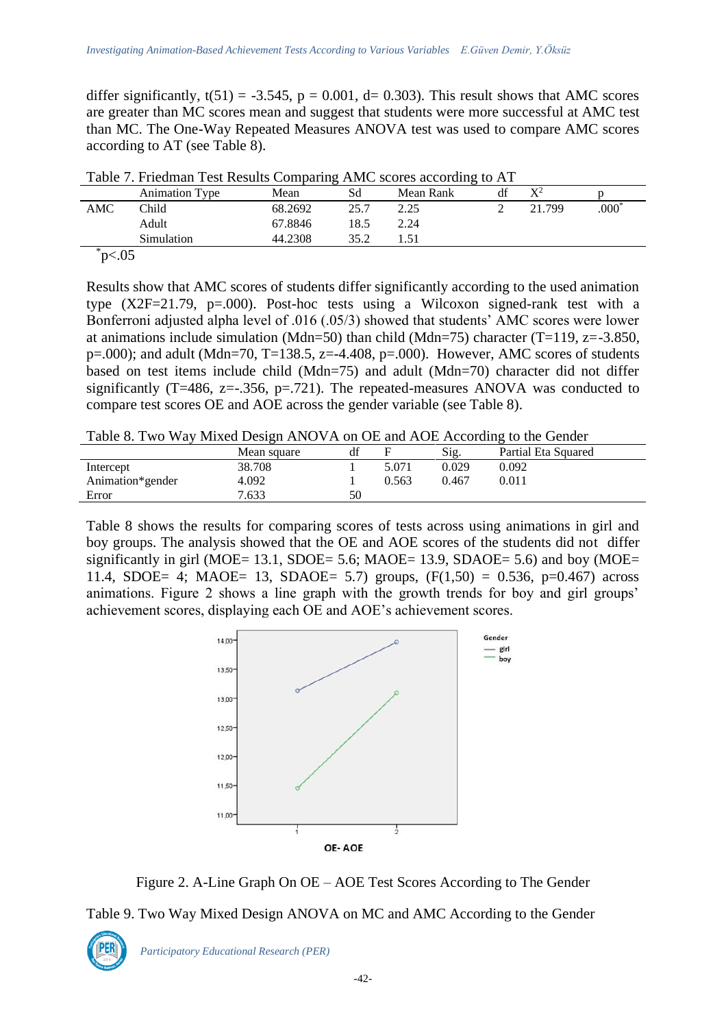differ significantly,  $t(51) = -3.545$ ,  $p = 0.001$ ,  $d = 0.303$ ). This result shows that AMC scores are greater than MC scores mean and suggest that students were more successful at AMC test than MC. The One-Way Repeated Measures ANOVA test was used to compare AMC scores according to AT (see Table 8).

|        | Table 7. I Healthan Test Results Comparing Time scores according to TVI |         |      |           |    |                |         |  |  |  |
|--------|-------------------------------------------------------------------------|---------|------|-----------|----|----------------|---------|--|--|--|
|        | <b>Animation Type</b>                                                   | Mean    | Sd   | Mean Rank | df | $\mathbf{Y}^2$ |         |  |  |  |
| AMC    | Child                                                                   | 68.2692 | 25.7 | 2.25      |    | 21.799         | $.000*$ |  |  |  |
|        | Adult                                                                   | 67.8846 | 18.5 | 2.24      |    |                |         |  |  |  |
|        | Simulation                                                              | 44.2308 | 35.2 |           |    |                |         |  |  |  |
| n > 05 |                                                                         |         |      |           |    |                |         |  |  |  |

Table 7. Friedman Test Results Comparing AMC scores according to AT

 $pc.05$ 

Results show that AMC scores of students differ significantly according to the used animation type  $(X2F=21.79, p=.000)$ . Post-hoc tests using a Wilcoxon signed-rank test with a Bonferroni adjusted alpha level of .016 (.05/3) showed that students' AMC scores were lower at animations include simulation (Mdn=50) than child (Mdn=75) character (T=119, z=-3.850,  $p=0.000$ ; and adult (Mdn=70, T=138.5, z=-4.408, p=.000). However, AMC scores of students based on test items include child (Mdn=75) and adult (Mdn=70) character did not differ significantly (T=486, z= $-0.356$ , p= $0.721$ ). The repeated-measures ANOVA was conducted to compare test scores OE and AOE across the gender variable (see Table 8).

Table 8. Two Way Mixed Design ANOVA on OE and AOE According to the Gender

|                  | Mean square | df |       | Sig.  | Partial Eta Squared |
|------------------|-------------|----|-------|-------|---------------------|
| Intercept        | 38.708      |    | 5.071 | 0.029 | 0.092               |
| Animation*gender | 4.092       |    | 0.563 | 0.467 | 0.011               |
| Error            | 7.633       | 50 |       |       |                     |

Table 8 shows the results for comparing scores of tests across using animations in girl and boy groups. The analysis showed that the OE and AOE scores of the students did not differ significantly in girl (MOE=  $13.1$ , SDOE=  $5.6$ ; MAOE=  $13.9$ , SDAOE=  $5.6$ ) and boy (MOE= 11.4, SDOE= 4; MAOE= 13, SDAOE= 5.7) groups,  $(F(1,50) = 0.536, p=0.467)$  across animations. Figure 2 shows a line graph with the growth trends for boy and girl groups' achievement scores, displaying each OE and AOE's achievement scores.



Figure 2. A-Line Graph On OE – AOE Test Scores According to The Gender Table 9. Two Way Mixed Design ANOVA on MC and AMC According to the Gender

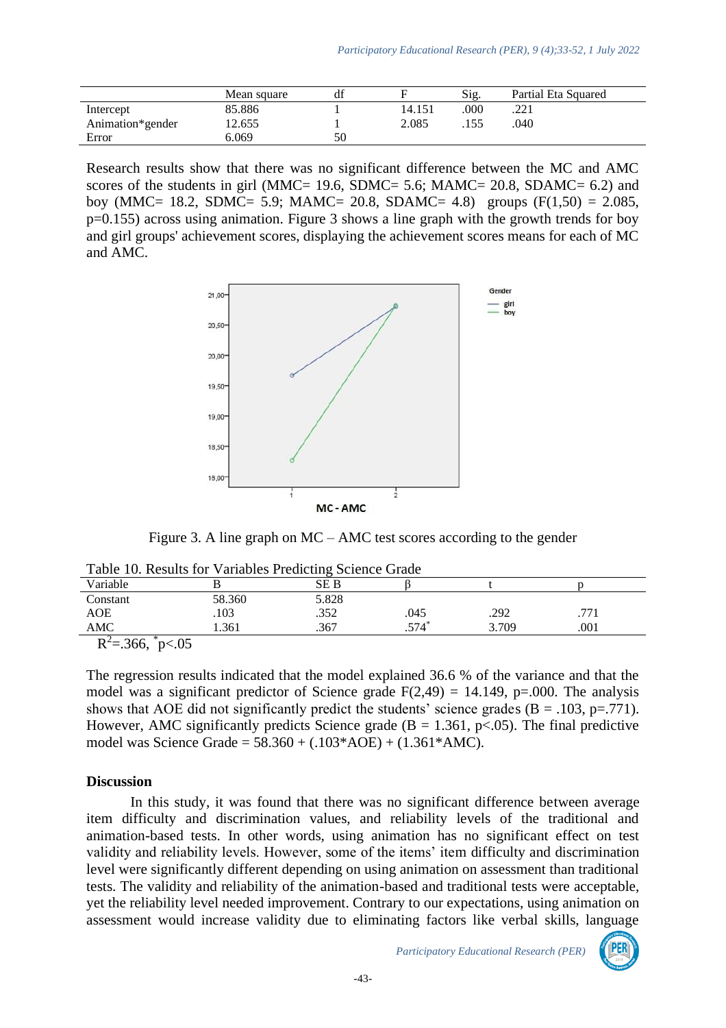|                  | Mean square | df |        | Sig. | Partial Eta Squared |
|------------------|-------------|----|--------|------|---------------------|
| Intercept        | 85.886      |    | 14.151 | 000  | .221                |
| Animation*gender | 12.655      |    | 2.085  | 155  | .040                |
| Error            | 6.069       | 50 |        |      |                     |

Research results show that there was no significant difference between the MC and AMC scores of the students in girl (MMC= 19.6, SDMC= 5.6; MAMC= 20.8, SDAMC= 6.2) and boy (MMC= 18.2, SDMC= 5.9; MAMC= 20.8, SDAMC= 4.8) groups  $(F(1,50) = 2.085,$ p=0.155) across using animation. Figure 3 shows a line graph with the growth trends for boy and girl groups' achievement scores, displaying the achievement scores means for each of MC and AMC.



Figure 3. A line graph on MC – AMC test scores according to the gender

| Table TO. Results for Variables Predicting Science Grade |        |       |         |       |      |  |
|----------------------------------------------------------|--------|-------|---------|-------|------|--|
| Variable                                                 |        | SE B  |         |       |      |  |
| Constant                                                 | 58.360 | 5.828 |         |       |      |  |
| <b>AOE</b>                                               | 103    | .352  | .045    | .292  |      |  |
| AMC                                                      | 1.361  | .367  | $.574*$ | 3.709 | .001 |  |
| $n^2$<br>$\sim$<br>$\sim$ $\alpha$                       |        |       |         |       |      |  |

|  | Table 10. Results for Variables Predicting Science Grade |  |  |  |  |
|--|----------------------------------------------------------|--|--|--|--|
|--|----------------------------------------------------------|--|--|--|--|

 $R^2 = 366$ ,  $p < 05$ 

The regression results indicated that the model explained 36.6 % of the variance and that the model was a significant predictor of Science grade  $F(2,49) = 14.149$ , p=.000. The analysis shows that AOE did not significantly predict the students' science grades ( $B = .103$ ,  $p = .771$ ). However, AMC significantly predicts Science grade ( $B = 1.361$ ,  $p \lt 0.05$ ). The final predictive model was Science Grade = 58.360 + (.103\*AOE) + (1.361\*AMC).

## **Discussion**

In this study, it was found that there was no significant difference between average item difficulty and discrimination values, and reliability levels of the traditional and animation-based tests. In other words, using animation has no significant effect on test validity and reliability levels. However, some of the items' item difficulty and discrimination level were significantly different depending on using animation on assessment than traditional tests. The validity and reliability of the animation-based and traditional tests were acceptable, yet the reliability level needed improvement. Contrary to our expectations, using animation on assessment would increase validity due to eliminating factors like verbal skills, language

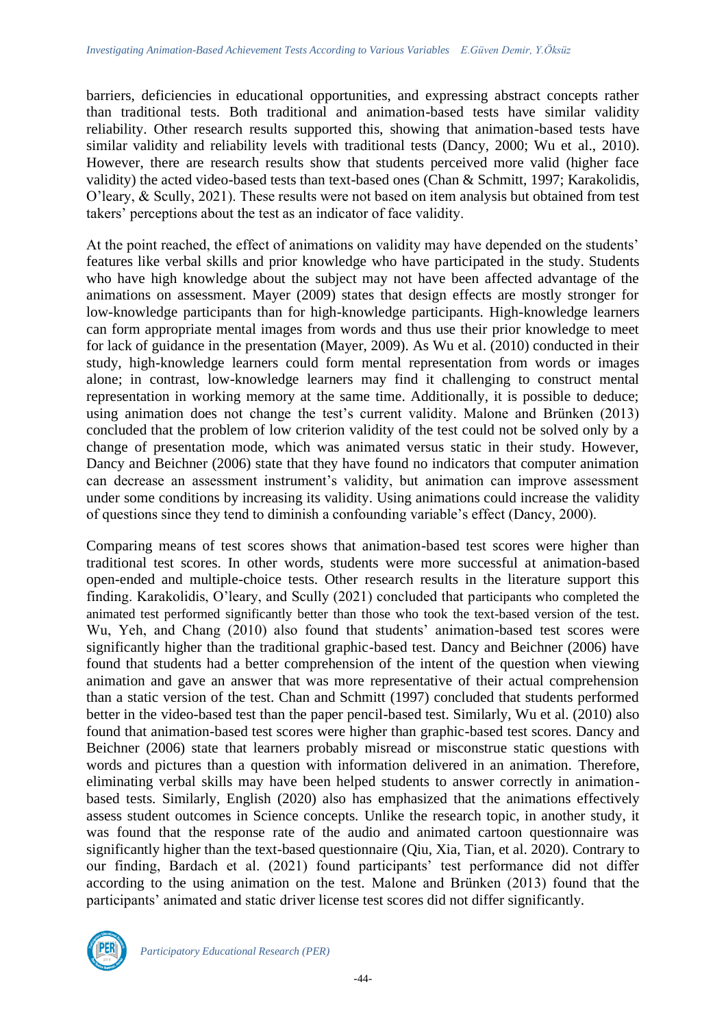barriers, deficiencies in educational opportunities, and expressing abstract concepts rather than traditional tests. Both traditional and animation-based tests have similar validity reliability. Other research results supported this, showing that animation-based tests have similar validity and reliability levels with traditional tests (Dancy, 2000; Wu et al., 2010). However, there are research results show that students perceived more valid (higher face validity) the acted video-based tests than text-based ones (Chan & Schmitt, 1997; Karakolidis, O'leary, & Scully, 2021). These results were not based on item analysis but obtained from test takers' perceptions about the test as an indicator of face validity.

At the point reached, the effect of animations on validity may have depended on the students' features like verbal skills and prior knowledge who have participated in the study. Students who have high knowledge about the subject may not have been affected advantage of the animations on assessment. Mayer (2009) states that design effects are mostly stronger for low-knowledge participants than for high-knowledge participants. High-knowledge learners can form appropriate mental images from words and thus use their prior knowledge to meet for lack of guidance in the presentation (Mayer, 2009). As Wu et al. (2010) conducted in their study, high-knowledge learners could form mental representation from words or images alone; in contrast, low-knowledge learners may find it challenging to construct mental representation in working memory at the same time. Additionally, it is possible to deduce; using animation does not change the test's current validity. Malone and Brünken (2013) concluded that the problem of low criterion validity of the test could not be solved only by a change of presentation mode, which was animated versus static in their study. However, Dancy and Beichner (2006) state that they have found no indicators that computer animation can decrease an assessment instrument's validity, but animation can improve assessment under some conditions by increasing its validity. Using animations could increase the validity of questions since they tend to diminish a confounding variable's effect (Dancy, 2000).

Comparing means of test scores shows that animation-based test scores were higher than traditional test scores. In other words, students were more successful at animation-based open-ended and multiple-choice tests. Other research results in the literature support this finding. Karakolidis, O'leary, and Scully (2021) concluded that participants who completed the animated test performed significantly better than those who took the text-based version of the test. Wu, Yeh, and Chang (2010) also found that students' animation-based test scores were significantly higher than the traditional graphic-based test. Dancy and Beichner (2006) have found that students had a better comprehension of the intent of the question when viewing animation and gave an answer that was more representative of their actual comprehension than a static version of the test. Chan and Schmitt (1997) concluded that students performed better in the video-based test than the paper pencil-based test. Similarly, Wu et al. (2010) also found that animation-based test scores were higher than graphic-based test scores. Dancy and Beichner (2006) state that learners probably misread or misconstrue static questions with words and pictures than a question with information delivered in an animation. Therefore, eliminating verbal skills may have been helped students to answer correctly in animationbased tests. Similarly, English (2020) also has emphasized that the animations effectively assess student outcomes in Science concepts. Unlike the research topic, in another study, it was found that the response rate of the audio and animated cartoon questionnaire was significantly higher than the text-based questionnaire (Qiu, Xia, Tian, et al. 2020). Contrary to our finding, Bardach et al. (2021) found participants' test performance did not differ according to the using animation on the test. Malone and Brünken (2013) found that the participants' animated and static driver license test scores did not differ significantly.

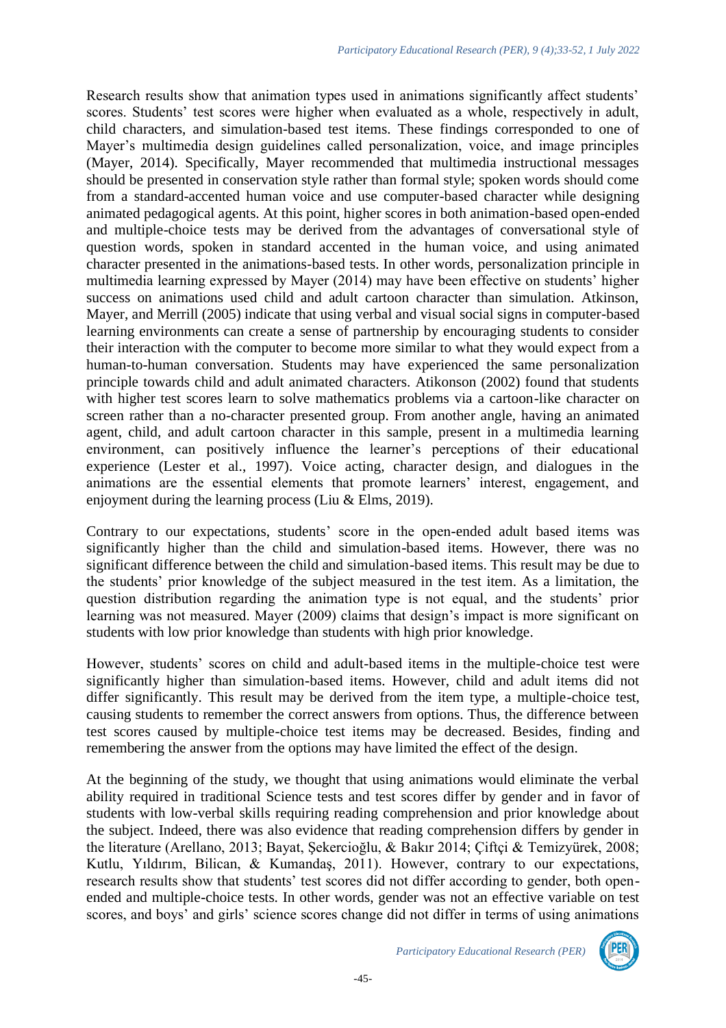Research results show that animation types used in animations significantly affect students' scores. Students' test scores were higher when evaluated as a whole, respectively in adult, child characters, and simulation-based test items. These findings corresponded to one of Mayer's multimedia design guidelines called personalization, voice, and image principles (Mayer, 2014). Specifically, Mayer recommended that multimedia instructional messages should be presented in conservation style rather than formal style; spoken words should come from a standard-accented human voice and use computer-based character while designing animated pedagogical agents. At this point, higher scores in both animation-based open-ended and multiple-choice tests may be derived from the advantages of conversational style of question words, spoken in standard accented in the human voice, and using animated character presented in the animations-based tests. In other words, personalization principle in multimedia learning expressed by Mayer (2014) may have been effective on students' higher success on animations used child and adult cartoon character than simulation. Atkinson, Mayer, and Merrill (2005) indicate that using verbal and visual social signs in computer-based learning environments can create a sense of partnership by encouraging students to consider their interaction with the computer to become more similar to what they would expect from a human-to-human conversation. Students may have experienced the same personalization principle towards child and adult animated characters. Atikonson (2002) found that students with higher test scores learn to solve mathematics problems via a cartoon-like character on screen rather than a no-character presented group. From another angle, having an animated agent, child, and adult cartoon character in this sample, present in a multimedia learning environment, can positively influence the learner's perceptions of their educational experience (Lester et al., 1997). Voice acting, character design, and dialogues in the animations are the essential elements that promote learners' interest, engagement, and enjoyment during the learning process (Liu & Elms, 2019).

Contrary to our expectations, students' score in the open-ended adult based items was significantly higher than the child and simulation-based items. However, there was no significant difference between the child and simulation-based items. This result may be due to the students' prior knowledge of the subject measured in the test item. As a limitation, the question distribution regarding the animation type is not equal, and the students' prior learning was not measured. Mayer (2009) claims that design's impact is more significant on students with low prior knowledge than students with high prior knowledge.

However, students' scores on child and adult-based items in the multiple-choice test were significantly higher than simulation-based items. However, child and adult items did not differ significantly. This result may be derived from the item type, a multiple-choice test, causing students to remember the correct answers from options. Thus, the difference between test scores caused by multiple-choice test items may be decreased. Besides, finding and remembering the answer from the options may have limited the effect of the design.

At the beginning of the study, we thought that using animations would eliminate the verbal ability required in traditional Science tests and test scores differ by gender and in favor of students with low-verbal skills requiring reading comprehension and prior knowledge about the subject. Indeed, there was also evidence that reading comprehension differs by gender in the literature (Arellano, 2013; Bayat, Şekercioğlu, & Bakır 2014; Çiftçi & Temizyürek, 2008; Kutlu, Yıldırım, Bilican, & Kumandaş, 2011). However, contrary to our expectations, research results show that students' test scores did not differ according to gender, both openended and multiple-choice tests. In other words, gender was not an effective variable on test scores, and boys' and girls' science scores change did not differ in terms of using animations

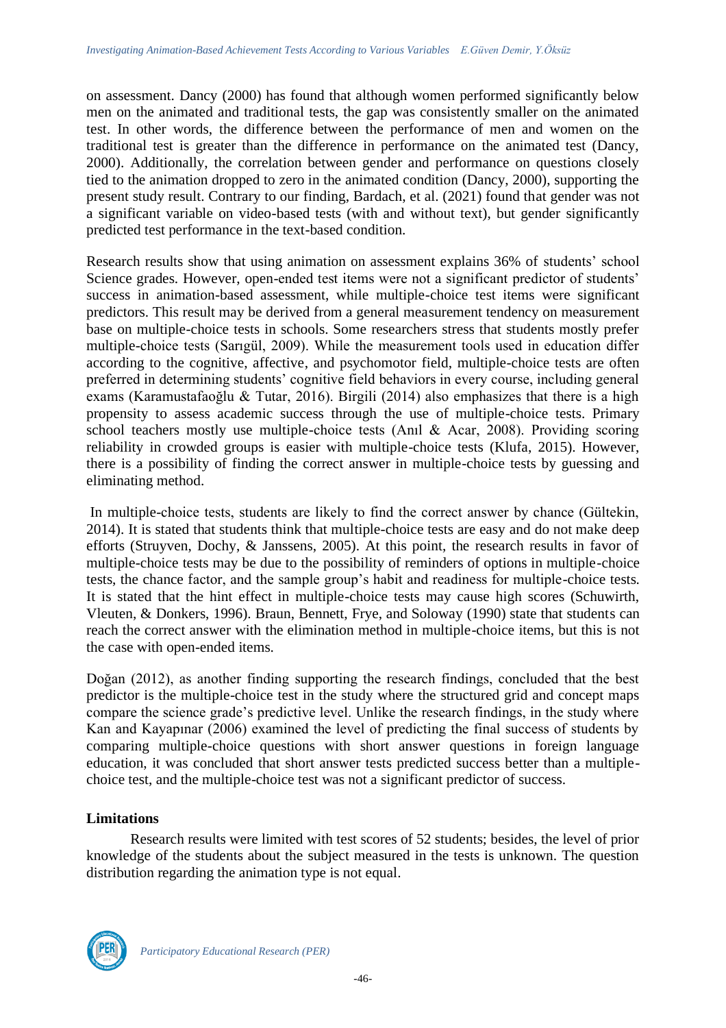on assessment. Dancy (2000) has found that although women performed significantly below men on the animated and traditional tests, the gap was consistently smaller on the animated test. In other words, the difference between the performance of men and women on the traditional test is greater than the difference in performance on the animated test (Dancy, 2000). Additionally, the correlation between gender and performance on questions closely tied to the animation dropped to zero in the animated condition (Dancy, 2000), supporting the present study result. Contrary to our finding, Bardach, et al. (2021) found that gender was not a significant variable on video-based tests (with and without text), but gender significantly predicted test performance in the text-based condition.

Research results show that using animation on assessment explains 36% of students' school Science grades. However, open-ended test items were not a significant predictor of students' success in animation-based assessment, while multiple-choice test items were significant predictors. This result may be derived from a general measurement tendency on measurement base on multiple-choice tests in schools. Some researchers stress that students mostly prefer multiple-choice tests (Sarıgül, 2009). While the measurement tools used in education differ according to the cognitive, affective, and psychomotor field, multiple-choice tests are often preferred in determining students' cognitive field behaviors in every course, including general exams (Karamustafaoğlu & Tutar, 2016). Birgili (2014) also emphasizes that there is a high propensity to assess academic success through the use of multiple-choice tests. Primary school teachers mostly use multiple-choice tests (Anıl & Acar, 2008). Providing scoring reliability in crowded groups is easier with multiple-choice tests (Klufa, 2015). However, there is a possibility of finding the correct answer in multiple-choice tests by guessing and eliminating method.

In multiple-choice tests, students are likely to find the correct answer by chance (Gültekin, 2014). It is stated that students think that multiple-choice tests are easy and do not make deep efforts (Struyven, Dochy, & Janssens, 2005). At this point, the research results in favor of multiple-choice tests may be due to the possibility of reminders of options in multiple-choice tests, the chance factor, and the sample group's habit and readiness for multiple-choice tests. It is stated that the hint effect in multiple-choice tests may cause high scores (Schuwirth, Vleuten, & Donkers, 1996). Braun, Bennett, Frye, and Soloway (1990) state that students can reach the correct answer with the elimination method in multiple-choice items, but this is not the case with open-ended items.

Doğan (2012), as another finding supporting the research findings, concluded that the best predictor is the multiple-choice test in the study where the structured grid and concept maps compare the science grade's predictive level. Unlike the research findings, in the study where Kan and Kayapınar (2006) examined the level of predicting the final success of students by comparing multiple-choice questions with short answer questions in foreign language education, it was concluded that short answer tests predicted success better than a multiplechoice test, and the multiple-choice test was not a significant predictor of success.

#### **Limitations**

Research results were limited with test scores of 52 students; besides, the level of prior knowledge of the students about the subject measured in the tests is unknown. The question distribution regarding the animation type is not equal.

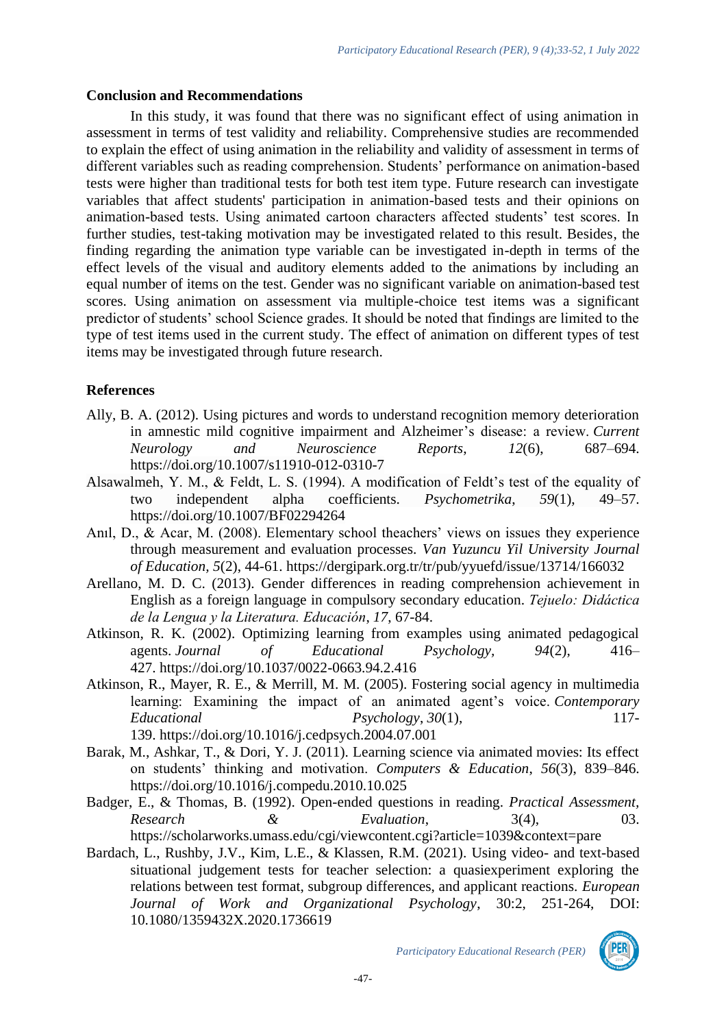#### **Conclusion and Recommendations**

In this study, it was found that there was no significant effect of using animation in assessment in terms of test validity and reliability. Comprehensive studies are recommended to explain the effect of using animation in the reliability and validity of assessment in terms of different variables such as reading comprehension. Students' performance on animation-based tests were higher than traditional tests for both test item type. Future research can investigate variables that affect students' participation in animation-based tests and their opinions on animation-based tests. Using animated cartoon characters affected students' test scores. In further studies, test-taking motivation may be investigated related to this result. Besides, the finding regarding the animation type variable can be investigated in-depth in terms of the effect levels of the visual and auditory elements added to the animations by including an equal number of items on the test. Gender was no significant variable on animation-based test scores. Using animation on assessment via multiple-choice test items was a significant predictor of students' school Science grades. It should be noted that findings are limited to the type of test items used in the current study. The effect of animation on different types of test items may be investigated through future research.

## **References**

- Ally, B. A. (2012). Using pictures and words to understand recognition memory deterioration in amnestic mild cognitive impairment and Alzheimer's disease: a review. *Current Neurology and Neuroscience Reports*, *12*(6), 687–694. https://doi.org/10.1007/s11910-012-0310-7
- Alsawalmeh, Y. M., & Feldt, L. S. (1994). A modification of Feldt's test of the equality of two independent alpha coefficients. *Psychometrika*, *59*(1), 49–57. https://doi.org/10.1007/BF02294264
- Anıl, D., & Acar, M. (2008). Elementary school theachers' views on issues they experience through measurement and evaluation processes. *Van Yuzuncu Yil University Journal of Education, 5*(2), 44-61. https://dergipark.org.tr/tr/pub/yyuefd/issue/13714/166032
- Arellano, M. D. C. (2013). Gender differences in reading comprehension achievement in English as a foreign language in compulsory secondary education. *Tejuelo: Didáctica de la Lengua y la Literatura. Educación*, *17*, 67-84.
- Atkinson, R. K. (2002). Optimizing learning from examples using animated pedagogical agents. *Journal of Educational Psychology, 94*(2), 416– 427. https://doi.org/10.1037/0022-0663.94.2.416
- Atkinson, R., Mayer, R. E., & Merrill, M. M. (2005). Fostering social agency in multimedia learning: Examining the impact of an animated agent's voice. *Contemporary Educational Psychology*, *30*(1), 117- 139. https://doi.org/10.1016/j.cedpsych.2004.07.001
- Barak, M., Ashkar, T., & Dori, Y. J. (2011). Learning science via animated movies: Its effect on students' thinking and motivation. *Computers & Education*, *56*(3), 839–846. <https://doi.org/10.1016/j.compedu.2010.10.025>
- Badger, E., & Thomas, B. (1992). Open-ended questions in reading. *Practical Assessment, Research & Evaluation*, 3(4), 03. https://scholarworks.umass.edu/cgi/viewcontent.cgi?article=1039&context=pare
- Bardach, L., Rushby, J.V., Kim, L.E., & Klassen, R.M. (2021). Using video- and text-based situational judgement tests for teacher selection: a quasiexperiment exploring the relations between test format, subgroup differences, and applicant reactions. *European Journal of Work and Organizational Psychology*, 30:2, 251-264, DOI: 10.1080/1359432X.2020.1736619

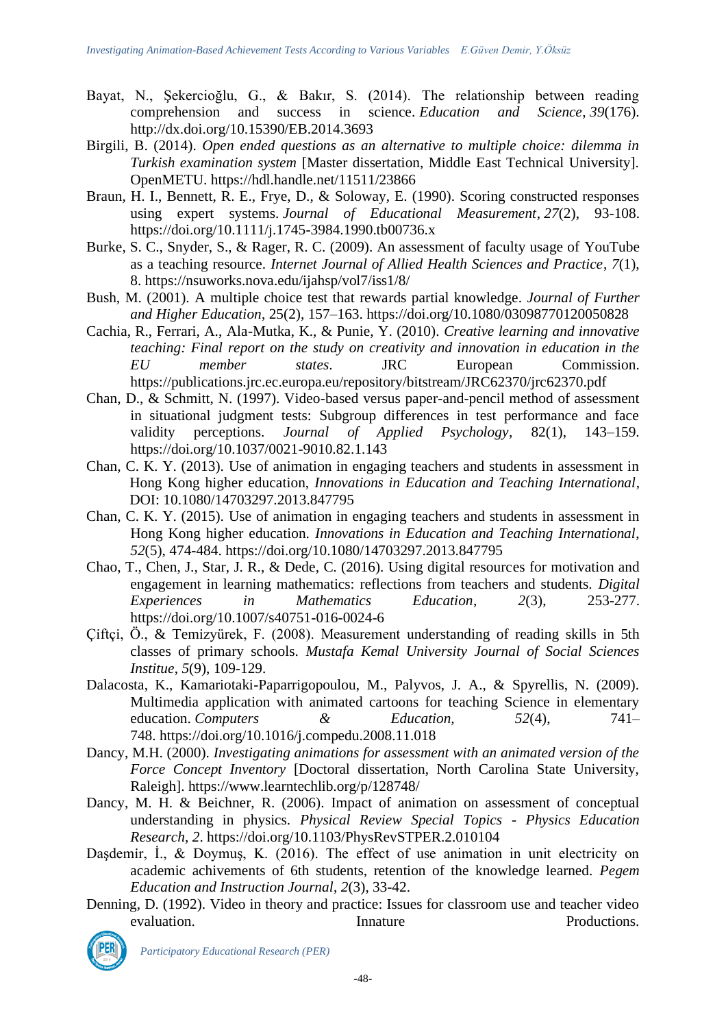- Bayat, N., Şekercioğlu, G., & Bakır, S. (2014). The relationship between reading comprehension and success in science. *Education and Science*, *39*(176). http://dx.doi.org/10.15390/EB.2014.3693
- Birgili, B. (2014). *Open ended questions as an alternative to multiple choice: dilemma in Turkish examination system* [Master dissertation, Middle East Technical University]. OpenMETU. https://hdl.handle.net/11511/23866
- Braun, H. I., Bennett, R. E., Frye, D., & Soloway, E. (1990). Scoring constructed responses using expert systems. *Journal of Educational Measurement*, *27*(2), 93-108. https://doi.org/10.1111/j.1745-3984.1990.tb00736.x
- Burke, S. C., Snyder, S., & Rager, R. C. (2009). An assessment of faculty usage of YouTube as a teaching resource. *Internet Journal of Allied Health Sciences and Practice*, *7*(1), 8.<https://nsuworks.nova.edu/ijahsp/vol7/iss1/8/>
- Bush, M. (2001). A multiple choice test that rewards partial knowledge. *Journal of Further and Higher Education*, 25(2), 157–163. https://doi.org/10.1080/03098770120050828
- Cachia, R., Ferrari, A., Ala-Mutka, K., & Punie, Y. (2010). *Creative learning and innovative teaching: Final report on the study on creativity and innovation in education in the EU member states*. JRC European Commission. <https://publications.jrc.ec.europa.eu/repository/bitstream/JRC62370/jrc62370.pdf>
- Chan, D., & Schmitt, N. (1997). Video-based versus paper-and-pencil method of assessment in situational judgment tests: Subgroup differences in test performance and face validity perceptions. *Journal of Applied Psychology*, 82(1), 143–159. https://doi.org/10.1037/0021-9010.82.1.143
- Chan, C. K. Y. (2013). Use of animation in engaging teachers and students in assessment in Hong Kong higher education, *Innovations in Education and Teaching International*, DOI: 10.1080/14703297.2013.847795
- Chan, C. K. Y. (2015). Use of animation in engaging teachers and students in assessment in Hong Kong higher education. *Innovations in Education and Teaching International*, *52*(5), 474-484. https://doi.org/10.1080/14703297.2013.847795
- Chao, T., Chen, J., Star, J. R., & Dede, C. (2016). Using digital resources for motivation and engagement in learning mathematics: reflections from teachers and students. *Digital Experiences in Mathematics Education*, *2*(3), 253-277. https://doi.org/10.1007/s40751-016-0024-6
- Çı̇ftçı̇, Ö., & Temı̇zyürek, F. (2008). Measurement understanding of reading skills in 5th classes of primary schools. *Mustafa Kemal University Journal of Social Sciences Institue*, *5*(9), 109-129.
- Dalacosta, K., Kamariotaki-Paparrigopoulou, M., Palyvos, J. A., & Spyrellis, N. (2009). Multimedia application with animated cartoons for teaching Science in elementary education. *Computers* & *Education*, 52(4), 741– 748. https://doi.org/10.1016/j.compedu.2008.11.018
- Dancy, M.H. (2000). *Investigating animations for assessment with an animated version of the Force Concept Inventory* [Doctoral dissertation, North Carolina State University, Raleigh]. https://www.learntechlib.org/p/128748/
- Dancy, M. H. & Beichner, R. (2006). Impact of animation on assessment of conceptual understanding in physics. *Physical Review Special Topics - Physics Education Research*, *2*. https://doi.org/10.1103/PhysRevSTPER.2.010104
- Daşdemir, İ., & Doymuş, K. (2016). The effect of use animation in unit electricity on academic achivements of 6th students, retention of the knowledge learned. *Pegem Education and Instruction Journal*, *2*(3), 33-42.
- Denning, D. (1992). Video in theory and practice: Issues for classroom use and teacher video evaluation. The Innature Productions.

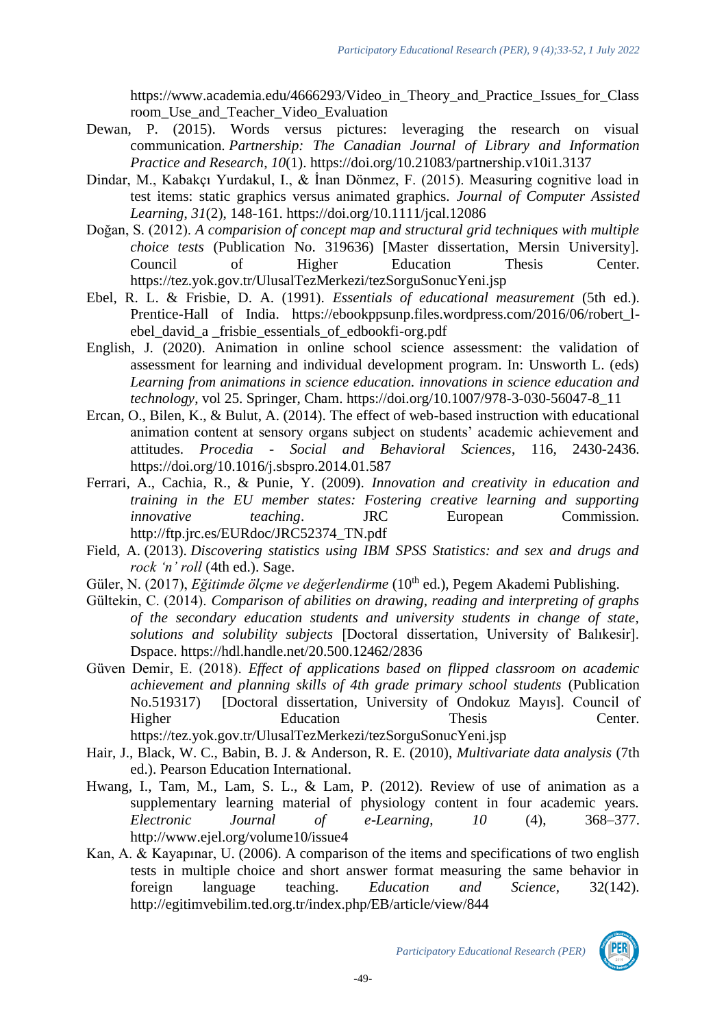https://www.academia.edu/4666293/Video in Theory and Practice Issues for Class room\_Use\_and\_Teacher\_Video\_Evaluation

- Dewan, P. (2015). Words versus pictures: leveraging the research on visual communication. *Partnership: The Canadian Journal of Library and Information Practice and Research*, *10*(1). https://doi.org/10.21083/partnership.v10i1.3137
- Dindar, M., Kabakçı Yurdakul, I., & İnan Dönmez, F. (2015). Measuring cognitive load in test items: static graphics versus animated graphics. *Journal of Computer Assisted Learning*, *31*(2), 148-161. https://doi.org/10.1111/jcal.12086
- Doğan, S. (2012). *A comparision of concept map and structural grid techniques with multiple choice tests* (Publication No. 319636) [Master dissertation, Mersin University]. Council of Higher Education Thesis Center. https://tez.yok.gov.tr/UlusalTezMerkezi/tezSorguSonucYeni.jsp
- Ebel, R. L. & Frisbie, D. A. (1991). *Essentials of educational measurement* (5th ed.). Prentice-Hall of India. https://ebookppsunp.files.wordpress.com/2016/06/robert 1[ebel\\_david\\_a \\_frisbie\\_essentials\\_of\\_edbookfi-org.pdf](https://ebookppsunp.files.wordpress.com/2016/06/robert_l-ebel_david_a%20_frisbie_essentials_of_edbookfi-org.pdf)
- English, J. (2020). Animation in online school science assessment: the validation of assessment for learning and individual development program. In: Unsworth L. (eds) *Learning from animations in science education. innovations in science education and technology*, vol 25. Springer, Cham. https://doi.org/10.1007/978-3-030-56047-8\_11
- Ercan, O., Bilen, K., & Bulut, A. (2014). The effect of web-based instruction with educational animation content at sensory organs subject on students' academic achievement and attitudes. *Procedia - Social and Behavioral Sciences*, 116, 2430-2436. https://doi.org/10.1016/j.sbspro.2014.01.587
- Ferrari, A., Cachia, R., & Punie, Y. (2009). *Innovation and creativity in education and training in the EU member states: Fostering creative learning and supporting innovative teaching*. JRC European Commission. http://ftp.jrc.es/EURdoc/JRC52374\_TN.pdf
- Field, A. (2013). *Discovering statistics using IBM SPSS Statistics: and sex and drugs and rock 'n' roll* (4th ed.). Sage.
- Güler, N. (2017), *Eğitimde ölçme ve değerlendirme* (10<sup>th</sup> ed.), Pegem Akademi Publishing.
- Gültekin, C. (2014). *Comparison of abilities on drawing, reading and interpreting of graphs of the secondary education students and university students in change of state, solutions and solubility subjects* [Doctoral dissertation, University of Balıkesir]. Dspace. https://hdl.handle.net/20.500.12462/2836
- Güven Demir, E. (2018). *Effect of applications based on flipped classroom on academic achievement and planning skills of 4th grade primary school students* (Publication No.519317) [Doctoral dissertation, University of Ondokuz Mayıs]. Council of Higher Education Thesis Center. https://tez.yok.gov.tr/UlusalTezMerkezi/tezSorguSonucYeni.jsp
- Hair, J., Black, W. C., Babin, B. J. & Anderson, R. E. (2010), *Multivariate data analysis* (7th ed.). Pearson Education International.
- Hwang, I., Tam, M., Lam, S. L., & Lam, P. (2012). Review of use of animation as a supplementary learning material of physiology content in four academic years. *Electronic Journal of e-Learning*, *10* (4), 368–377. http://www.ejel.org/volume10/issue4
- Kan, A. & Kayapınar, U. (2006). A comparison of the items and specifications of two english tests in multiple choice and short answer format measuring the same behavior in foreign language teaching. *Education and Science*, 32(142). <http://egitimvebilim.ted.org.tr/index.php/EB/article/view/844>

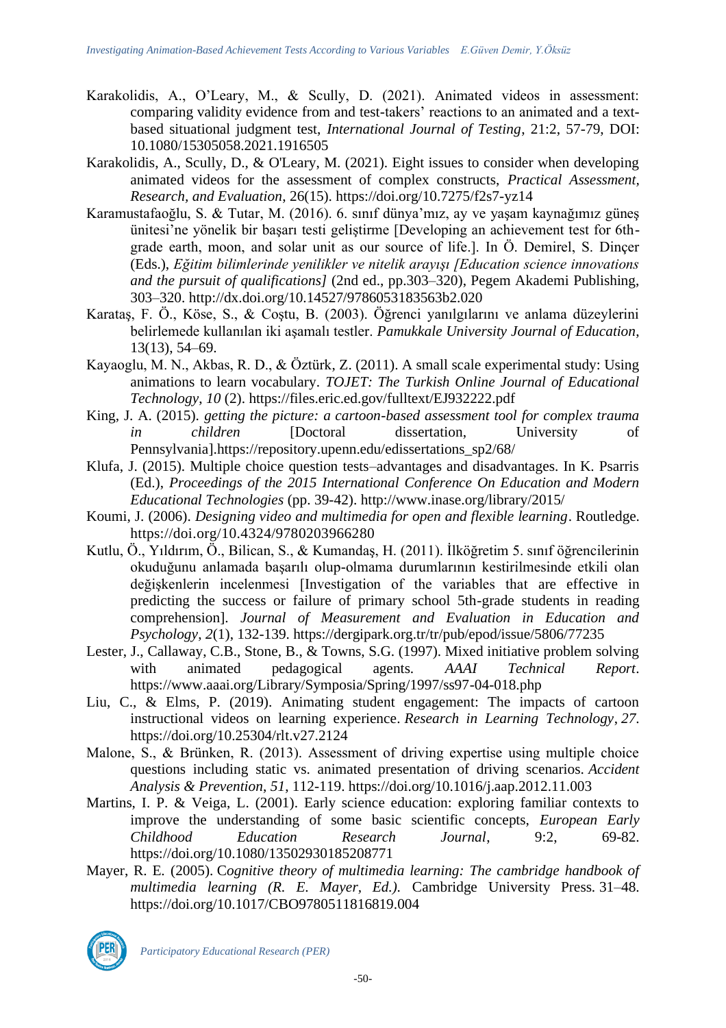- Karakolidis, A., O'Leary, M., & Scully, D. (2021). Animated videos in assessment: comparing validity evidence from and test-takers' reactions to an animated and a textbased situational judgment test, *International Journal of Testing*, 21:2, 57-79, DOI: 10.1080/15305058.2021.1916505
- Karakolidis, A., Scully, D., & O'Leary, M. (2021). Eight issues to consider when developing animated videos for the assessment of complex constructs, *Practical Assessment, Research, and Evaluation*, 26(15). https://doi.org/10.7275/f2s7-yz14
- Karamustafaoğlu, S. & Tutar, M. (2016). 6. sınıf dünya'mız, ay ve yaşam kaynağımız güneş ünitesi'ne yönelik bir başarı testi geliştirme [Developing an achievement test for 6thgrade earth, moon, and solar unit as our source of life.]. In Ö. Demirel, S. Dinçer (Eds.), *Eğitim bilimlerinde yenilikler ve nitelik arayışı [Education science innovations and the pursuit of qualifications]* (2nd ed., pp.303–320), Pegem Akademi Publishing, 303–320.<http://dx.doi.org/10.14527/9786053183563b2.020>
- Karataş, F. Ö., Köse, S., & Coştu, B. (2003). Öğrenci yanılgılarını ve anlama düzeylerini belirlemede kullanılan iki aşamalı testler. *Pamukkale University Journal of Education*, 13(13), 54–69.
- Kayaoglu, M. N., Akbas, R. D., & Öztürk, Z. (2011). A small scale experimental study: Using animations to learn vocabulary. *TOJET: The Turkish Online Journal of Educational Technology*, *10* (2). https://files.eric.ed.gov/fulltext/EJ932222.pdf
- King, J. A. (2015). *getting the picture: a cartoon-based assessment tool for complex trauma in children* [Doctoral dissertation, University of Pennsylvania].https://repository.upenn.edu/edissertations\_sp2/68/
- Klufa, J. (2015). Multiple choice question tests–advantages and disadvantages. In K. Psarris (Ed.), *Proceedings of the 2015 International Conference On Education and Modern Educational Technologies* (pp. 39-42). http://www.inase.org/library/2015/
- Koumi, J. (2006). *Designing video and multimedia for open and flexible learning*. Routledge. https://doi.org/10.4324/9780203966280
- Kutlu, Ö., Yıldırım, Ö., Bilican, S., & Kumandaş, H. (2011). İlköğretim 5. sınıf öğrencilerinin okuduğunu anlamada başarılı olup-olmama durumlarının kestirilmesinde etkili olan değişkenlerin incelenmesi [Investigation of the variables that are effective in predicting the success or failure of primary school 5th-grade students in reading comprehension]. *Journal of Measurement and Evaluation in Education and Psychology*, *2*(1), 132-139. https://dergipark.org.tr/tr/pub/epod/issue/5806/77235
- Lester, J., Callaway, C.B., Stone, B., & Towns, S.G. (1997). Mixed initiative problem solving with animated pedagogical agents. *AAAI Technical Report*. https://www.aaai.org/Library/Symposia/Spring/1997/ss97-04-018.php
- Liu, C., & Elms, P. (2019). Animating student engagement: The impacts of cartoon instructional videos on learning experience. *Research in Learning Technology*, *27*. https://doi.org/10.25304/rlt.v27.2124
- Malone, S., & Brünken, R. (2013). Assessment of driving expertise using multiple choice questions including static vs. animated presentation of driving scenarios. *Accident Analysis & Prevention*, *51*, 112-119. https://doi.org/10.1016/j.aap.2012.11.003
- Martins, I. P. & Veiga, L. (2001). Early science education: exploring familiar contexts to improve the understanding of some basic scientific concepts, *European Early Childhood Education Research Journal*, 9:2, 69-82. https://doi.org/10.1080/13502930185208771
- Mayer, R. E*.* (2005). C*ognitive theory of multimedia learning: The cambridge handbook of multimedia learning (R. E. Mayer, Ed.).* Cambridge University Press*.* 31–48. https://doi.org/10.1017/CBO9780511816819.004

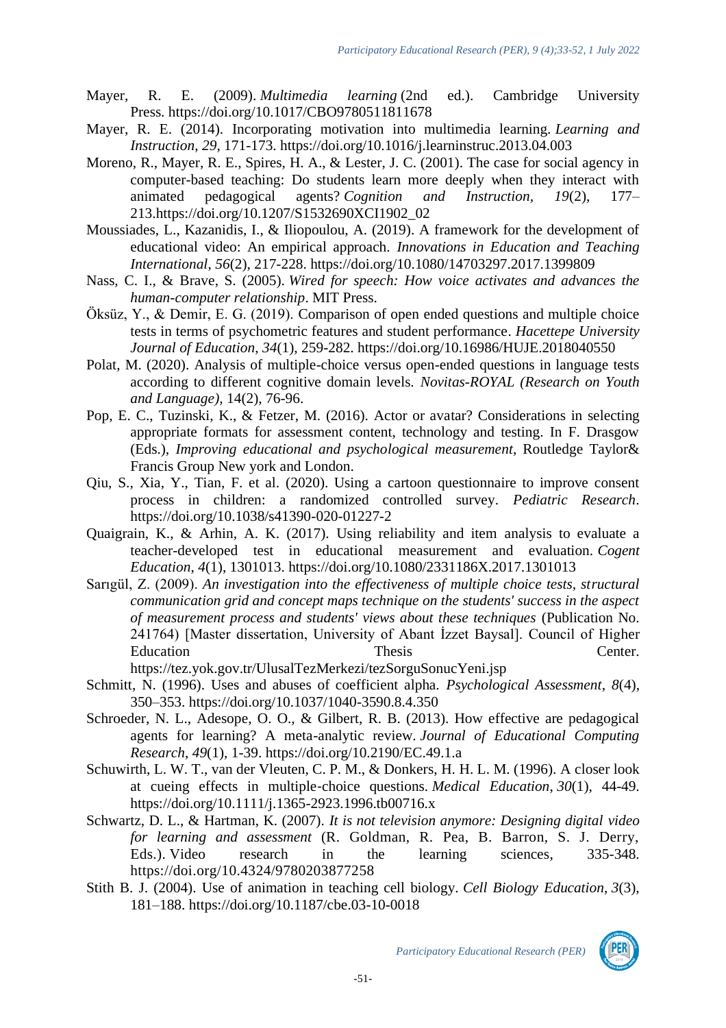- Mayer, R. E. (2009). *Multimedia learning* (2nd ed.). Cambridge University Press. https://doi.org/10.1017/CBO9780511811678
- Mayer, R. E. (2014). Incorporating motivation into multimedia learning. *Learning and Instruction*, *29*, 171-173. https://doi.org/10.1016/j.learninstruc.2013.04.003
- Moreno, R., Mayer, R. E., Spires, H. A., & Lester, J. C. (2001). The case for social agency in computer-based teaching: Do students learn more deeply when they interact with animated pedagogical agents? *Cognition and Instruction, 19*(2), 177– 213.https://doi.org/10.1207/S1532690XCI1902\_02
- Moussiades, L., Kazanidis, I., & Iliopoulou, A. (2019). A framework for the development of educational video: An empirical approach. *Innovations in Education and Teaching International*, *56*(2), 217-228. https://doi.org/10.1080/14703297.2017.1399809
- Nass, C. I., & Brave, S. (2005). *Wired for speech: How voice activates and advances the human-computer relationship*. MIT Press.
- Öksüz, Y., & Demir, E. G. (2019). Comparison of open ended questions and multiple choice tests in terms of psychometric features and student performance. *Hacettepe University Journal of Education*, *34*(1), 259-282.<https://doi.org/10.16986/HUJE.2018040550>
- Polat, M. (2020). Analysis of multiple-choice versus open-ended questions in language tests according to different cognitive domain levels. *Novitas-ROYAL (Research on Youth and Language),* 14(2), 76-96.
- Pop, E. C., Tuzinski, K., & Fetzer, M. (2016). Actor or avatar? Considerations in selecting appropriate formats for assessment content, technology and testing. In F. Drasgow (Eds.), *Improving educational and psychological measurement*, Routledge Taylor& Francis Group New york and London.
- Qiu, S., Xia, Y., Tian, F. et al. (2020). Using a cartoon questionnaire to improve consent process in children: a randomized controlled survey. *Pediatric Research*. https://doi.org/10.1038/s41390-020-01227-2
- Quaigrain, K., & Arhin, A. K. (2017). Using reliability and item analysis to evaluate a teacher-developed test in educational measurement and evaluation. *Cogent Education*, *4*(1), 1301013. https://doi.org/10.1080/2331186X.2017.1301013
- Sarıgül, Z. (2009). *An investigation into the effectiveness of multiple choice tests, structural communication grid and concept maps technique on the students' success in the aspect of measurement process and students' views about these techniques* (Publication No. 241764) [Master dissertation, University of Abant İzzet Baysal]. Council of Higher Education Center. https://tez.yok.gov.tr/UlusalTezMerkezi/tezSorguSonucYeni.jsp
- Schmitt, N. (1996). Uses and abuses of coefficient alpha. *Psychological Assessment*, *8*(4), 350–353. https://doi.org/10.1037/1040-3590.8.4.350
- Schroeder, N. L., Adesope, O. O., & Gilbert, R. B. (2013). How effective are pedagogical agents for learning? A meta-analytic review. *Journal of Educational Computing Research*, *49*(1), 1-39. https://doi.org/10.2190/EC.49.1.a
- Schuwirth, L. W. T., van der Vleuten, C. P. M., & Donkers, H. H. L. M. (1996). A closer look at cueing effects in multiple‐choice questions. *Medical Education*, *30*(1), 44-49. https://doi.org/10.1111/j.1365-2923.1996.tb00716.x
- Schwartz, D. L., & Hartman, K. (2007). *It is not television anymore: Designing digital video for learning and assessment* (R. Goldman, R. Pea, B. Barron, S. J. Derry, Eds.). Video research in the learning sciences, 335-348. https://doi.org/10.4324/9780203877258
- Stith B. J. (2004). Use of animation in teaching cell biology. *Cell Biology Education*, *3*(3), 181–188. https://doi.org/10.1187/cbe.03-10-0018